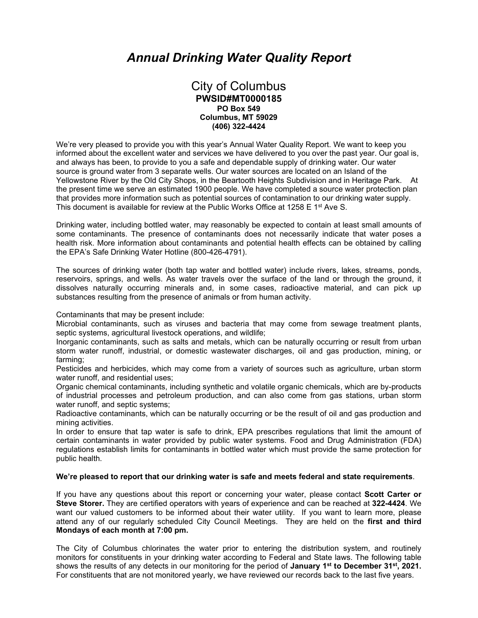# *Annual Drinking Water Quality Report*

## City of Columbus **PWSID#MT0000185 PO Box 549 Columbus, MT 59029 (406) 322-4424**

We're very pleased to provide you with this year's Annual Water Quality Report. We want to keep you informed about the excellent water and services we have delivered to you over the past year. Our goal is, and always has been, to provide to you a safe and dependable supply of drinking water. Our water source is ground water from 3 separate wells. Our water sources are located on an Island of the Yellowstone River by the Old City Shops, in the Beartooth Heights Subdivision and in Heritage Park. At the present time we serve an estimated 1900 people. We have completed a source water protection plan that provides more information such as potential sources of contamination to our drinking water supply. This document is available for review at the Public Works Office at 1258 E 1<sup>st</sup> Ave S.

Drinking water, including bottled water, may reasonably be expected to contain at least small amounts of some contaminants. The presence of contaminants does not necessarily indicate that water poses a health risk. More information about contaminants and potential health effects can be obtained by calling the EPA's Safe Drinking Water Hotline (800-426-4791).

The sources of drinking water (both tap water and bottled water) include rivers, lakes, streams, ponds, reservoirs, springs, and wells. As water travels over the surface of the land or through the ground, it dissolves naturally occurring minerals and, in some cases, radioactive material, and can pick up substances resulting from the presence of animals or from human activity.

Contaminants that may be present include:

Microbial contaminants, such as viruses and bacteria that may come from sewage treatment plants, septic systems, agricultural livestock operations, and wildlife;

Inorganic contaminants, such as salts and metals, which can be naturally occurring or result from urban storm water runoff, industrial, or domestic wastewater discharges, oil and gas production, mining, or farming;

Pesticides and herbicides, which may come from a variety of sources such as agriculture, urban storm water runoff, and residential uses;

Organic chemical contaminants, including synthetic and volatile organic chemicals, which are by-products of industrial processes and petroleum production, and can also come from gas stations, urban storm water runoff, and septic systems;

Radioactive contaminants, which can be naturally occurring or be the result of oil and gas production and mining activities.

In order to ensure that tap water is safe to drink, EPA prescribes regulations that limit the amount of certain contaminants in water provided by public water systems. Food and Drug Administration (FDA) regulations establish limits for contaminants in bottled water which must provide the same protection for public health.

## **We're pleased to report that our drinking water is safe and meets federal and state requirements**.

If you have any questions about this report or concerning your water, please contact **Scott Carter or Steve Storer.** They are certified operators with years of experience and can be reached at **322-4424**. We want our valued customers to be informed about their water utility. If you want to learn more, please attend any of our regularly scheduled City Council Meetings. They are held on the **first and third Mondays of each month at 7:00 pm.** 

The City of Columbus chlorinates the water prior to entering the distribution system, and routinely monitors for constituents in your drinking water according to Federal and State laws. The following table shows the results of any detects in our monitoring for the period of **January 1st to December 31st, 2021.**  For constituents that are not monitored yearly, we have reviewed our records back to the last five years.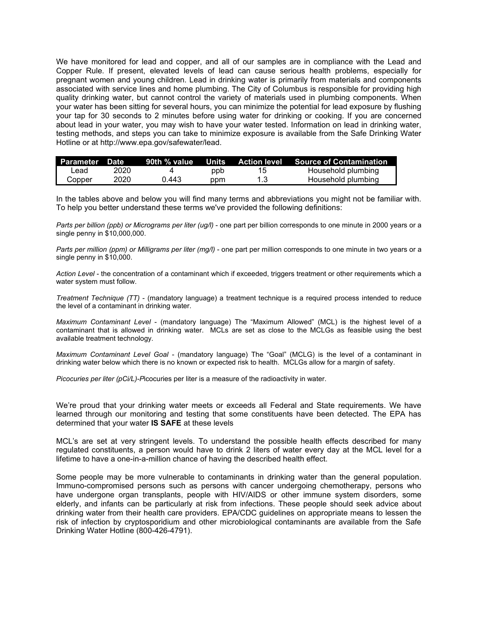We have monitored for lead and copper, and all of our samples are in compliance with the Lead and Copper Rule. If present, elevated levels of lead can cause serious health problems, especially for pregnant women and young children. Lead in drinking water is primarily from materials and components associated with service lines and home plumbing. The City of Columbus is responsible for providing high quality drinking water, but cannot control the variety of materials used in plumbing components. When your water has been sitting for several hours, you can minimize the potential for lead exposure by flushing your tap for 30 seconds to 2 minutes before using water for drinking or cooking. If you are concerned about lead in your water, you may wish to have your water tested. Information on lead in drinking water, testing methods, and steps you can take to minimize exposure is available from the Safe Drinking Water Hotline or at http://www.epa.gov/safewater/lead.

| Parameter Date |      | 90th % value |     | Units Action level Source of Contamination |
|----------------|------|--------------|-----|--------------------------------------------|
| ∟ead           | 2020 |              | ppb | Household plumbing                         |
| Copper         | 2020 | .) 443       | ppm | Household plumbing                         |

In the tables above and below you will find many terms and abbreviations you might not be familiar with. To help you better understand these terms we've provided the following definitions:

*Parts per billion (ppb) or Micrograms per liter (ug/l)* - one part per billion corresponds to one minute in 2000 years or a single penny in \$10,000,000.

*Parts per million (ppm) or Milligrams per liter (mg/l)* - one part per million corresponds to one minute in two years or a single penny in \$10,000.

*Action Level* - the concentration of a contaminant which if exceeded, triggers treatment or other requirements which a water system must follow.

*Treatment Technique (TT)* - (mandatory language) a treatment technique is a required process intended to reduce the level of a contaminant in drinking water.

*Maximum Contaminant Level* - (mandatory language) The "Maximum Allowed" (MCL) is the highest level of a contaminant that is allowed in drinking water. MCLs are set as close to the MCLGs as feasible using the best available treatment technology.

*Maximum Contaminant Level Goal* - (mandatory language) The "Goal" (MCLG) is the level of a contaminant in drinking water below which there is no known or expected risk to health. MCLGs allow for a margin of safety.

*Picocuries per liter (pCi/L)-P*icocuries per liter is a measure of the radioactivity in water.

We're proud that your drinking water meets or exceeds all Federal and State requirements. We have learned through our monitoring and testing that some constituents have been detected. The EPA has determined that your water **IS SAFE** at these levels

MCL's are set at very stringent levels. To understand the possible health effects described for many regulated constituents, a person would have to drink 2 liters of water every day at the MCL level for a lifetime to have a one-in-a-million chance of having the described health effect.

Some people may be more vulnerable to contaminants in drinking water than the general population. Immuno-compromised persons such as persons with cancer undergoing chemotherapy, persons who have undergone organ transplants, people with HIV/AIDS or other immune system disorders, some elderly, and infants can be particularly at risk from infections. These people should seek advice about drinking water from their health care providers. EPA/CDC guidelines on appropriate means to lessen the risk of infection by cryptosporidium and other microbiological contaminants are available from the Safe Drinking Water Hotline (800-426-4791).